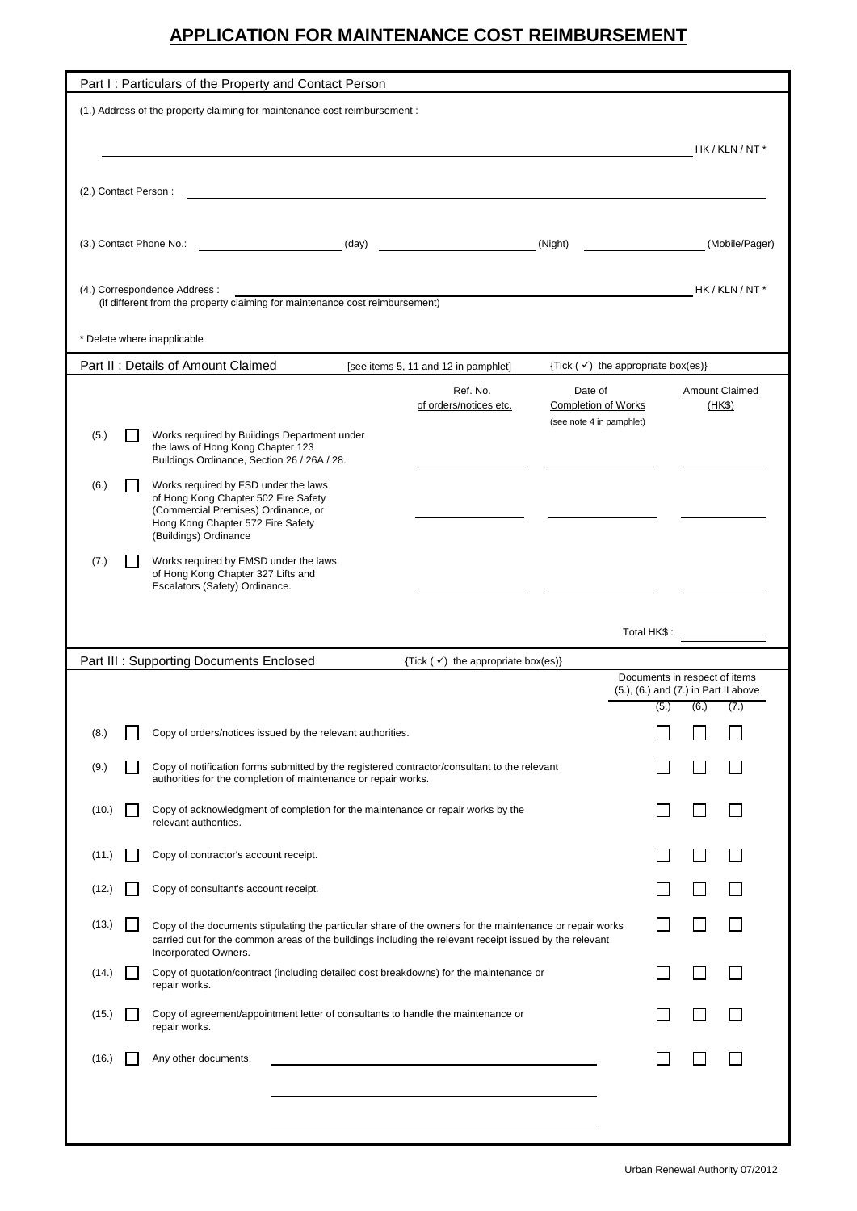## **APPLICATION FOR MAINTENANCE COST REIMBURSEMENT**

| (1.) Address of the property claiming for maintenance cost reimbursement :                                                               | Part I: Particulars of the Property and Contact Person                                                                                                                                                              |                                                                   |                                                      |  |
|------------------------------------------------------------------------------------------------------------------------------------------|---------------------------------------------------------------------------------------------------------------------------------------------------------------------------------------------------------------------|-------------------------------------------------------------------|------------------------------------------------------|--|
|                                                                                                                                          |                                                                                                                                                                                                                     |                                                                   |                                                      |  |
|                                                                                                                                          |                                                                                                                                                                                                                     |                                                                   |                                                      |  |
|                                                                                                                                          |                                                                                                                                                                                                                     |                                                                   | HK / KLN / NT *                                      |  |
| (2.) Contact Person:                                                                                                                     |                                                                                                                                                                                                                     |                                                                   |                                                      |  |
|                                                                                                                                          |                                                                                                                                                                                                                     |                                                                   |                                                      |  |
| (3.) Contact Phone No.:                                                                                                                  | (day)                                                                                                                                                                                                               | (Night)                                                           | (Mobile/Pager)                                       |  |
|                                                                                                                                          |                                                                                                                                                                                                                     |                                                                   |                                                      |  |
| (4.) Correspondence Address:                                                                                                             |                                                                                                                                                                                                                     |                                                                   | HK / KLN / NT *                                      |  |
| (if different from the property claiming for maintenance cost reimbursement)                                                             |                                                                                                                                                                                                                     |                                                                   |                                                      |  |
| * Delete where inapplicable                                                                                                              |                                                                                                                                                                                                                     |                                                                   |                                                      |  |
| Part II: Details of Amount Claimed                                                                                                       | [see items 5, 11 and 12 in pamphlet]                                                                                                                                                                                | {Tick $(\checkmark)$ the appropriate box(es)}                     |                                                      |  |
|                                                                                                                                          | Ref. No.<br>of orders/notices etc.                                                                                                                                                                                  | Date of<br><b>Completion of Works</b><br>(see note 4 in pamphlet) | Amount Claimed<br>(HKS)                              |  |
| Works required by Buildings Department under<br>(5.)<br>the laws of Hong Kong Chapter 123<br>Buildings Ordinance, Section 26 / 26A / 28. |                                                                                                                                                                                                                     |                                                                   |                                                      |  |
| Works required by FSD under the laws<br>(6.)                                                                                             |                                                                                                                                                                                                                     |                                                                   |                                                      |  |
| of Hong Kong Chapter 502 Fire Safety<br>(Commercial Premises) Ordinance, or                                                              |                                                                                                                                                                                                                     |                                                                   |                                                      |  |
| Hong Kong Chapter 572 Fire Safety<br>(Buildings) Ordinance                                                                               |                                                                                                                                                                                                                     |                                                                   |                                                      |  |
| Works required by EMSD under the laws<br>(7.)<br>of Hong Kong Chapter 327 Lifts and<br>Escalators (Safety) Ordinance.                    |                                                                                                                                                                                                                     |                                                                   |                                                      |  |
|                                                                                                                                          |                                                                                                                                                                                                                     |                                                                   |                                                      |  |
|                                                                                                                                          |                                                                                                                                                                                                                     | Total HK\$:                                                       |                                                      |  |
| Part III : Supporting Documents Enclosed<br>{Tick $(\checkmark)$ the appropriate box(es)}                                                |                                                                                                                                                                                                                     |                                                                   |                                                      |  |
|                                                                                                                                          |                                                                                                                                                                                                                     |                                                                   |                                                      |  |
|                                                                                                                                          |                                                                                                                                                                                                                     |                                                                   | Documents in respect of items                        |  |
|                                                                                                                                          |                                                                                                                                                                                                                     | (5.)                                                              | (5.), (6.) and (7.) in Part II above<br>(6.)<br>(7.) |  |
| Copy of orders/notices issued by the relevant authorities.<br>(8.)                                                                       |                                                                                                                                                                                                                     |                                                                   |                                                      |  |
| (9.)<br>authorities for the completion of maintenance or repair works.                                                                   | Copy of notification forms submitted by the registered contractor/consultant to the relevant                                                                                                                        |                                                                   |                                                      |  |
| (10.)<br>relevant authorities.                                                                                                           | Copy of acknowledgment of completion for the maintenance or repair works by the                                                                                                                                     |                                                                   |                                                      |  |
| Copy of contractor's account receipt.<br>(11.)                                                                                           |                                                                                                                                                                                                                     |                                                                   |                                                      |  |
| Copy of consultant's account receipt.<br>(12.)                                                                                           |                                                                                                                                                                                                                     |                                                                   |                                                      |  |
| (13.)                                                                                                                                    | Copy of the documents stipulating the particular share of the owners for the maintenance or repair works<br>carried out for the common areas of the buildings including the relevant receipt issued by the relevant |                                                                   |                                                      |  |
| Incorporated Owners.<br>(14.)<br>repair works.                                                                                           | Copy of quotation/contract (including detailed cost breakdowns) for the maintenance or                                                                                                                              |                                                                   |                                                      |  |
| (15.)<br>repair works.                                                                                                                   | Copy of agreement/appointment letter of consultants to handle the maintenance or                                                                                                                                    |                                                                   |                                                      |  |
| Any other documents:<br>(16.)                                                                                                            |                                                                                                                                                                                                                     |                                                                   |                                                      |  |
|                                                                                                                                          |                                                                                                                                                                                                                     |                                                                   |                                                      |  |